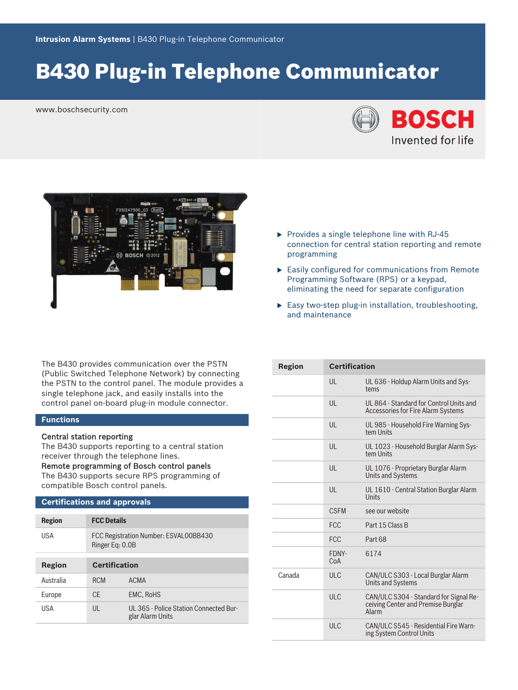# B430 Plug-in Telephone Communicator

www.boschsecurity.com





- $\triangleright$  Provides a single telephone line with RJ-45 connection for central station reporting and remote programming
- $\blacktriangleright$  Easily configured for communications from Remote Programming Software (RPS) or a keypad, eliminating the need for separate configuration
- $\blacktriangleright$  Easy two-step plug-in installation, troubleshooting, and maintenance

The B430 provides communication over the PSTN (Public Switched Telephone Network) by connecting the PSTN to the control panel. The module provides a single telephone jack, and easily installs into the control panel on-board plug-in module connector.

# **Functions**

# Central station reporting

The B430 supports reporting to a central station receiver through the telephone lines.

Remote programming of Bosch control panels The B430 supports secure RPS programming of

# **Certifications and approvals**

compatible Bosch control panels.

| <b>Region</b> | <b>FCC Details</b>                                       |                                                            |
|---------------|----------------------------------------------------------|------------------------------------------------------------|
| USA           | FCC Registration Number: ESVAL00BB430<br>Ringer Eq: 0.0B |                                                            |
| Region        | <b>Certification</b>                                     |                                                            |
| Australia     | <b>RCM</b>                                               | <b>ACMA</b>                                                |
| Europe        | CF.                                                      | <b>EMC, RoHS</b>                                           |
| USA           | UL                                                       | UL 365 - Police Station Connected Bur-<br>glar Alarm Units |

| <b>Certification</b> |                                                                                       |
|----------------------|---------------------------------------------------------------------------------------|
| $\mathsf{U}$         | UL 636 - Holdup Alarm Units and Sys-<br>tems                                          |
| $\mathsf{U}$         | UL 864 - Standard for Control Units and<br><b>Accessories for Fire Alarm Systems</b>  |
| $\mathsf{U}$         | UL 985 - Household Fire Warning Sys-<br>tem Units                                     |
| UL                   | UL 1023 - Household Burglar Alarm Sys-<br>tem Units                                   |
| $\mathsf{U}$         | UL 1076 - Proprietary Burglar Alarm<br><b>Units and Systems</b>                       |
| UL                   | UL 1610 - Central Station Burglar Alarm<br>Units                                      |
| <b>CSEM</b>          | see our website                                                                       |
| <b>FCC</b>           | Part 15 Class B                                                                       |
| <b>FCC</b>           | Part 68                                                                               |
| FDNY-<br>CoA         | 6174                                                                                  |
| ULC                  | CAN/ULC S303 - Local Burglar Alarm<br><b>Units and Systems</b>                        |
| ULC                  | CAN/ULC S304 - Standard for Signal Re-<br>ceiving Center and Premise Burglar<br>Alarm |
| ULC                  | CAN/ULC S545 - Residential Fire Warn-<br>ing System Control Units                     |
|                      |                                                                                       |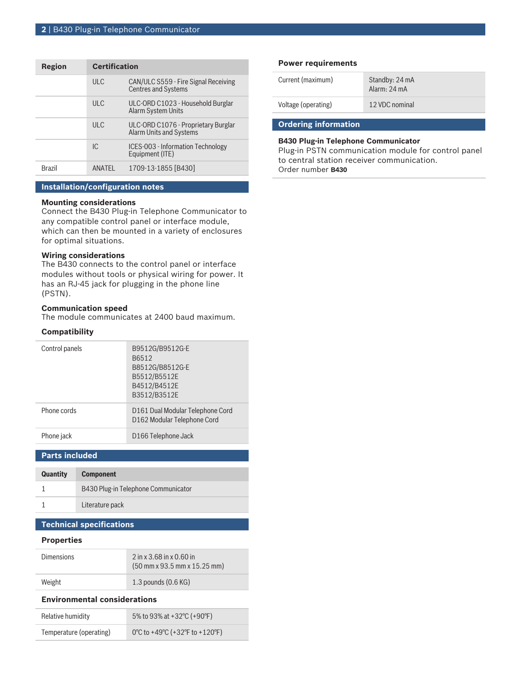| Region        | <b>Certification</b> |                                                                       |
|---------------|----------------------|-----------------------------------------------------------------------|
|               | ULC                  | CAN/ULC S559 - Fire Signal Receiving<br><b>Centres and Systems</b>    |
|               | ULC                  | ULC-ORD C1023 - Household Burglar<br><b>Alarm System Units</b>        |
|               | ULC                  | ULC-ORD C1076 - Proprietary Burglar<br><b>Alarm Units and Systems</b> |
|               | IC.                  | ICES-003 - Information Technology<br>Equipment (ITE)                  |
| <b>Brazil</b> | <b>ANATEL</b>        | 1709-13-1855 [B430]                                                   |

## **Installation/configuration notes**

#### **Mounting considerations**

Connect the B430 Plug-in Telephone Communicator to any compatible control panel or interface module, which can then be mounted in a variety of enclosures for optimal situations.

# **Wiring considerations**

The B430 connects to the control panel or interface modules without tools or physical wiring for power. It has an RJ-45 jack for plugging in the phone line (PSTN).

# **Communication speed**

The module communicates at 2400 baud maximum.

#### **Compatibility**

| Control panels | B9512G/B9512G-E<br>B6512<br>B8512G/B8512G-E<br>B5512/B5512E<br>B4512/B4512E<br>B3512/B3512E |
|----------------|---------------------------------------------------------------------------------------------|
| Phone cords    | D161 Dual Modular Telephone Cord<br>D162 Modular Telephone Cord                             |
| Phone jack     | D <sub>166</sub> Telephone Jack                                                             |

**Parts included**

| <b>Quantity</b> | <b>Component</b>                    |
|-----------------|-------------------------------------|
|                 | B430 Plug-in Telephone Communicator |
|                 | Literature pack                     |

# **Technical specifications**

#### **Properties**

| <b>Dimensions</b> | $2$ in x 3.68 in x 0.60 in<br>$(50 \text{ mm} \times 93.5 \text{ mm} \times 15.25 \text{ mm})$ |
|-------------------|------------------------------------------------------------------------------------------------|
| Weight            | $1.3$ pounds $(0.6$ KG)                                                                        |

#### **Environmental considerations**

| Relative humidity       | 5% to 93% at +32 °C (+90 °F)   |
|-------------------------|--------------------------------|
| Temperature (operating) | 0°C to +49°C (+32°F to +120°F) |

## **Power requirements**

| Current (maximum)   | Standby: 24 mA<br>Alarm: 24 mA |
|---------------------|--------------------------------|
| Voltage (operating) | 12 VDC nominal                 |
|                     |                                |

# **Ordering information**

### **B430 Plug-in Telephone Communicator**

Plug-in PSTN communication module for control panel to central station receiver communication. Order number **B430**